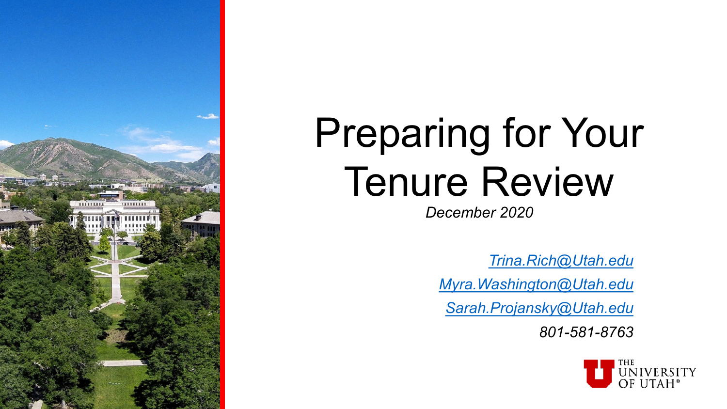

# Preparing for Your Tenure Review

*December 2020*

*[Trina.Rich@Utah.edu](mailto:sarah.projansky@Utah.edu)*

*[Myra.Washington@Utah.edu](mailto:sarah.projansky@Utah.edu)*

*[Sarah.Projansky@Utah.edu](mailto:sarah.projansky@Utah.edu)*

*801-581-8763*

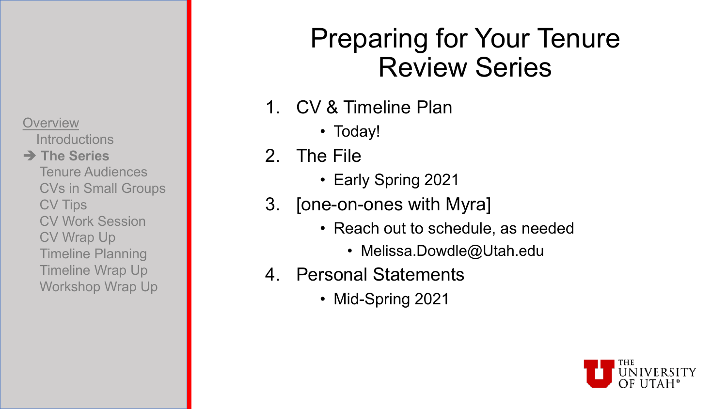**Introductions** 

### **→ The Series**

Tenure Audiences CVs in Small Groups CV Tips CV Work Session CV Wrap Up Timeline Planning Timeline Wrap Up Workshop Wrap Up

### Preparing for Your Tenure Review Series

- 1. CV & Timeline Plan
	- Today!
- 2. The File
	- Early Spring 2021
- 3. [one-on-ones with Myra]
	- Reach out to schedule, as needed
		- Melissa.Dowdle@Utah.edu
- 4. Personal Statements
	- Mid-Spring 2021

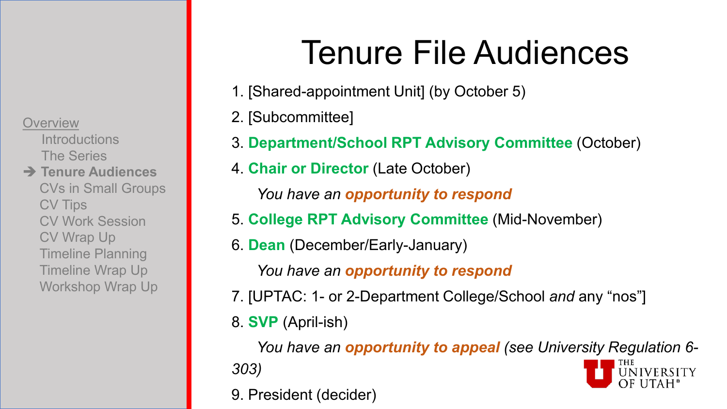**Introductions** The Series

**→ Tenure Audiences** CVs in Small Groups CV Tips CV Work Session CV Wrap Up Timeline Planning Timeline Wrap Up Workshop Wrap Up

# Tenure File Audiences

- 1. [Shared-appointment Unit] (by October 5)
- 2. [Subcommittee]
- 3. **Department/School RPT Advisory Committee** (October)
- 4. **Chair or Director** (Late October)

*You have an opportunity to respond*

- 5. **College RPT Advisory Committee** (Mid-November)
- 6. **Dean** (December/Early-January)

*You have an opportunity to respond*

- 7. [UPTAC: 1- or 2-Department College/School *and* any "nos"]
- 8. **SVP** (April-ish)

*You have an opportunity to appeal (see University Regulation 6- 303)* UNIVERSITY

9. President (decider)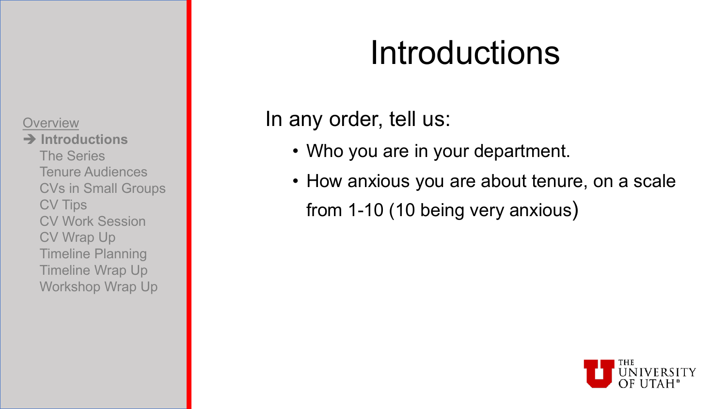**Introductions** The Series Tenure Audiences CVs in Small Groups CV Tips CV Work Session CV Wrap Up Timeline Planning Timeline Wrap Up Workshop Wrap Up

## Introductions

### In any order, tell us:

- Who you are in your department.
- How anxious you are about tenure, on a scale from 1-10 (10 being very anxious)

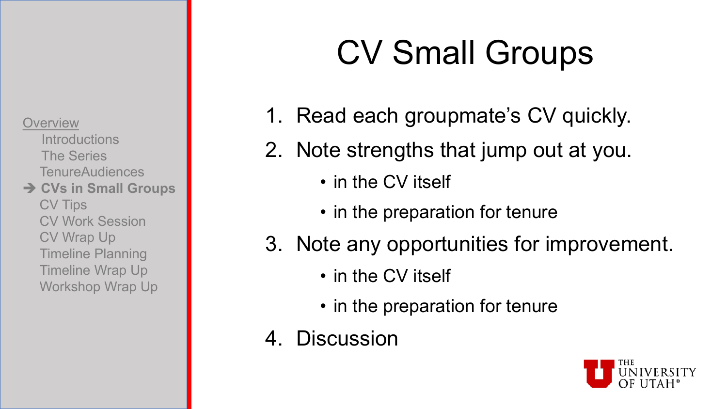**Introductions** The Series TenureAudiences **→ CVs in Small Groups** CV Tips CV Work Session CV Wrap Up Timeline Planning

Timeline Wrap Up

Workshop Wrap Up

# CV Small Groups

- 1. Read each groupmate's CV quickly.
- 2. Note strengths that jump out at you.
	- in the CV itself
	- in the preparation for tenure
- 3. Note any opportunities for improvement.
	- in the CV itself
	- in the preparation for tenure
- 4. Discussion

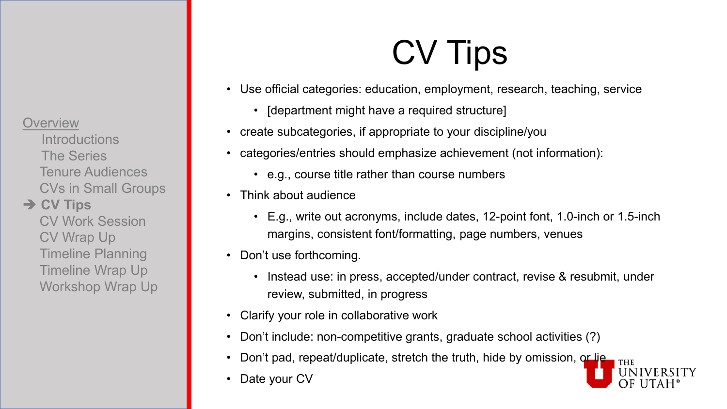**Introductions** The Series Tenure Audiences CVs in Small Groups

### **→ CV Tips**

CV Work Session CV Wrap Up Timeline Planning Timeline Wrap Up Workshop Wrap Up

# CV Tips

- Use official categories: education, employment, research, teaching, service
	- [department might have a required structure]
- create subcategories, if appropriate to your discipline/you
- categories/entries should emphasize achievement (not information):
	- e.g., course title rather than course numbers
- Think about audience
	- E.g., write out acronyms, include dates, 12-point font, 1.0-inch or 1.5-inch margins, consistent font/formatting, page numbers, venues
- Don't use forthcoming.
	- Instead use: in press, accepted/under contract, revise & resubmit, under review, submitted, in progress
- Clarify your role in collaborative work
- Don't include: non-competitive grants, graduate school activities (?)
- Don't pad, repeat/duplicate, stretch the truth, hide by omission, or lie
- Date your CV

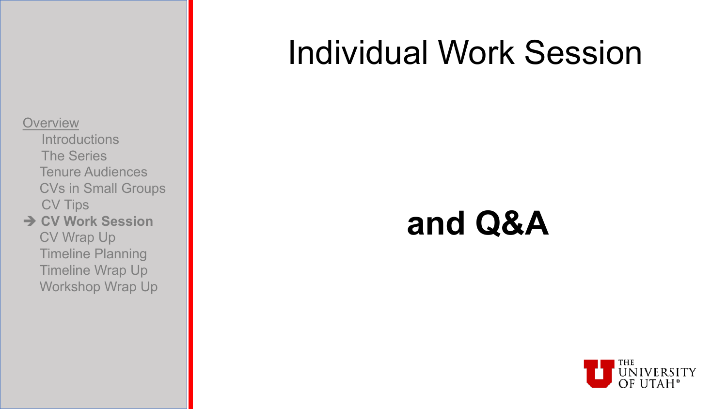- **Introductions** The Series Tenure Audiences CVs in Small Groups CV Tips
- **→ CV Work Session** CV Wrap Up Timeline Planning Timeline Wrap Up Workshop Wrap Up

### Individual Work Session

### **and Q&A**

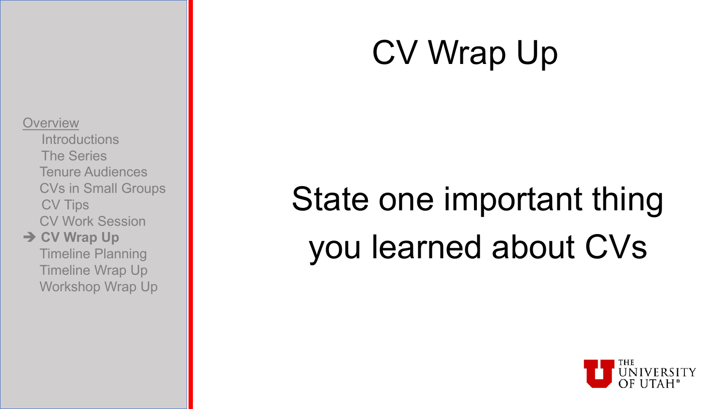## CV Wrap Up

#### **Overview**

- **Introductions** The Series Tenure Audiences CVs in Small Groups CV Tips CV Work Session
- **→ CV Wrap Up** Timeline Planning Timeline Wrap Up Workshop Wrap Up

# State one important thing you learned about CVs

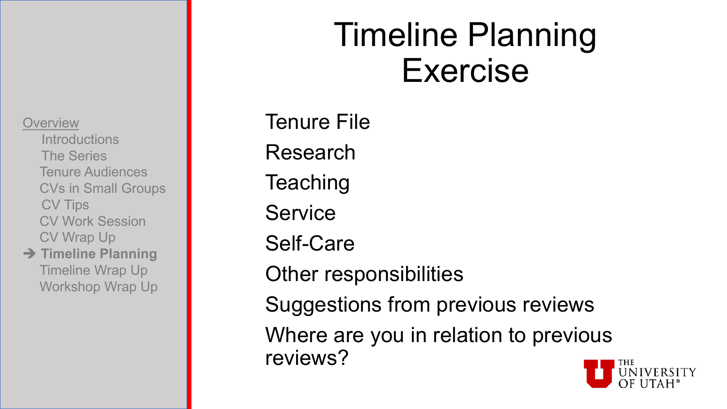**Introductions** The Series Tenure Audiences CVs in Small Groups CV Tips CV Work Session CV Wrap Up

**→ Timeline Planning** Timeline Wrap Up Workshop Wrap Up

## Timeline Planning Exercise

Tenure File Research **Teaching Service** Self-Care Other responsibilities Suggestions from previous reviews Where are you in relation to previous reviews?

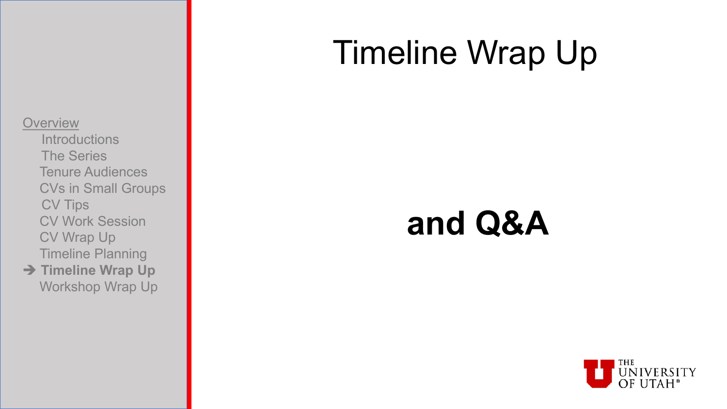## Timeline Wrap Up

#### **Overview**

- **Introductions** The Series Tenure Audiences CVs in Small Groups CV Tips CV Work Session CV Wrap Up Timeline Planning
- **→ Timeline Wrap Up** Workshop Wrap Up

## **and Q&A**